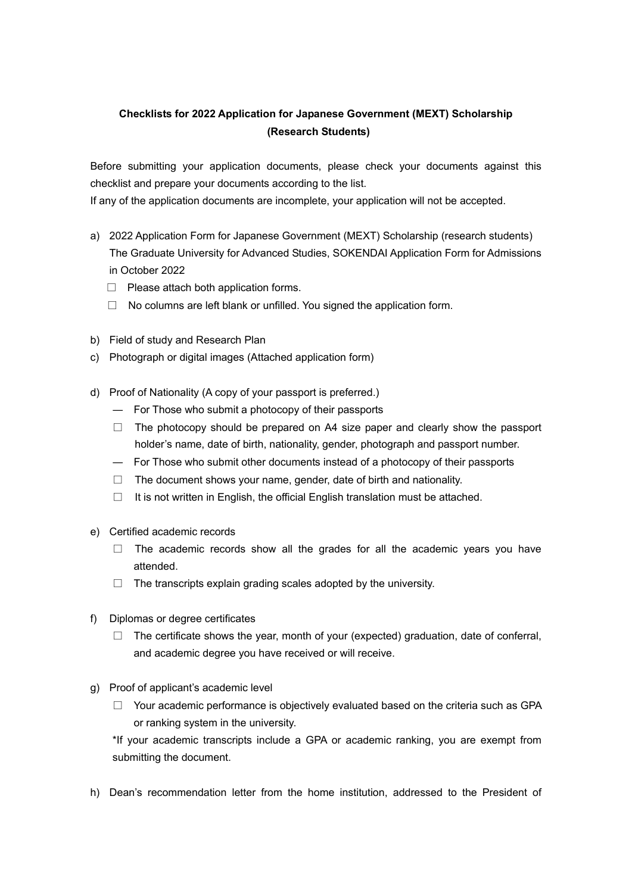## **Checklists for 2022 Application for Japanese Government (MEXT) Scholarship (Research Students)**

Before submitting your application documents, please check your documents against this checklist and prepare your documents according to the list.

If any of the application documents are incomplete, your application will not be accepted.

- a) 2022 Application Form for Japanese Government (MEXT) Scholarship (research students) The Graduate University for Advanced Studies, SOKENDAI Application Form for Admissions in October 2022
	- □ Please attach both application forms.
	- $\Box$  No columns are left blank or unfilled. You signed the application form.
- b) Field of study and Research Plan
- c) Photograph or digital images (Attached application form)
- d) Proof of Nationality (A copy of your passport is preferred.)
	- ― For Those who submit a photocopy of their passports
	- $\Box$  The photocopy should be prepared on A4 size paper and clearly show the passport holder's name, date of birth, nationality, gender, photograph and passport number.
	- ― For Those who submit other documents instead of a photocopy of their passports
	- $\Box$  The document shows your name, gender, date of birth and nationality.
	- $\Box$  It is not written in English, the official English translation must be attached.
- e) Certified academic records
	- $\Box$  The academic records show all the grades for all the academic years you have attended.
	- $\Box$  The transcripts explain grading scales adopted by the university.
- f) Diplomas or degree certificates
	- $\Box$  The certificate shows the year, month of your (expected) graduation, date of conferral, and academic degree you have received or will receive.
- g) Proof of applicant's academic level
	- $\Box$  Your academic performance is objectively evaluated based on the criteria such as GPA or ranking system in the university.

\*If your academic transcripts include a GPA or academic ranking, you are exempt from submitting the document.

h) Dean's recommendation letter from the home institution, addressed to the President of